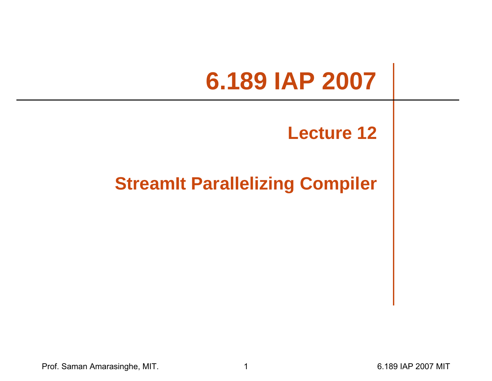# **6.189 IAP 2007**

#### **Lecture 12**

#### **StreamIt Parallelizing Compiler**

Prof. Saman Amarasinghe, MIT. 1 6.189 IAP 2007 MIT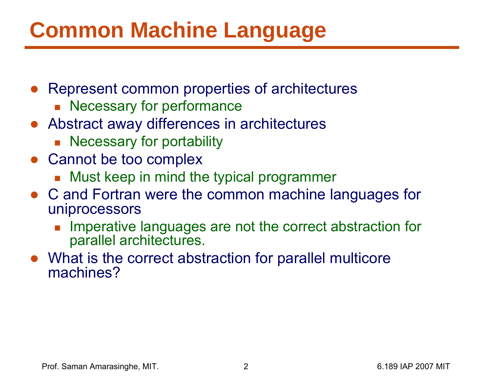# **Common Machine Language**

- Represent common properties of architectures
	- **Necessary for performance**
- Abstract away differences in architectures
	- **Necessary for portability**
- Cannot be too complex
	- Must keep in mind the typical programmer
- C and Fortran were the common machine languages for uniprocessors
	- F Imperative languages are not the correct abstraction for parallel architectures.
- What is the correct abstraction for parallel multicore machines?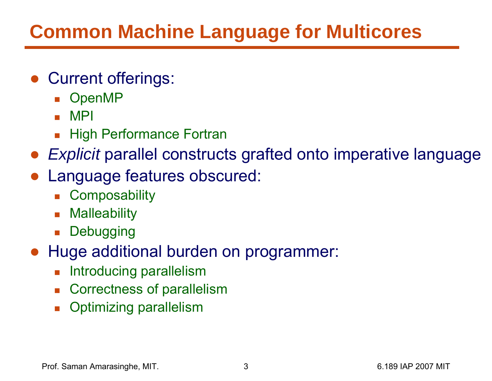#### **Common Machine Language for Multicores**

- Current offerings:
	- OpenMP
	- MPI
	- H. High Performance Fortran
- *Explicit* parallel constructs grafted onto imperative language
- ● Language features obscured:
	- H. **Composability**
	- $\overline{\phantom{a}}$ **Malleability**
	- **Debugging**
- Huge additional burden on programmer:
	- H. Introducing parallelism
	- $\overline{\phantom{a}}$ Correctness of parallelism
	- Π Optimizing parallelism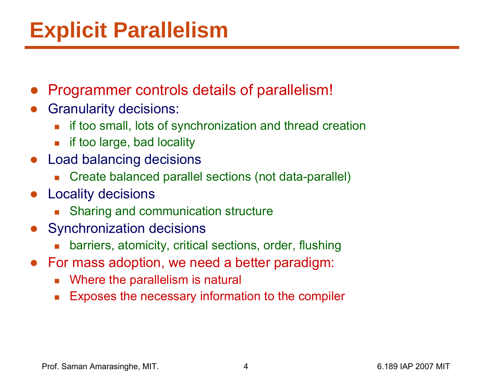# **Explicit Parallelism**

- ●Programmer controls details of parallelism!
- ● Granularity decisions:
	- L if too small, lots of synchronization and thread creation
	- $\overline{\phantom{a}}$ if too large, bad locality
- ● Load balancing decisions
	- Г Create balanced parallel sections (not data-parallel)
- ● Locality decisions
	- Г Sharing and communication structure
- ● Synchronization decisions
	- Г barriers, atomicity, critical sections, order, flushing
- ● For mass adoption, we need a better paradigm:
	- $\overline{\mathbb{R}^n}$ Where the parallelism is natural
	- $\mathcal{L}_{\mathcal{A}}$ Exposes the necessary information to the compiler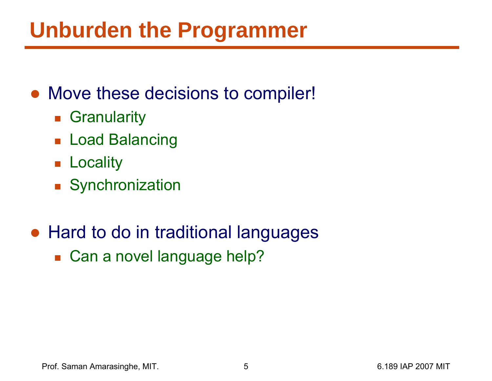# **Unburden the Programmer**

#### • Move these decisions to compiler!

- **B** Granularity
- Load Balancing
- **Locality**
- **Synchronization**

#### ● Hard to do in traditional languages

■ Can a novel language help?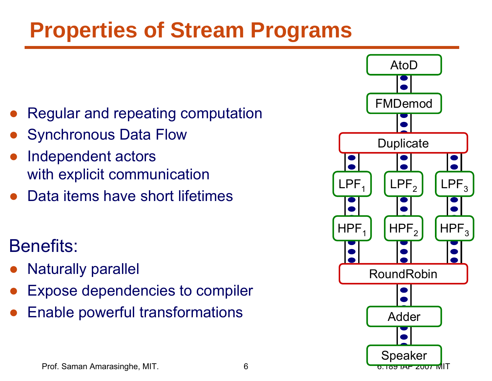# **Properties of Stream Programs**

- ●Regular and repeating computation
- ●Synchronous Data Flow
- $\bullet$  Independent actors with explicit communication
- ●Data items have short lifetimes

#### Benefits:

- $\bullet$ Naturally parallel
- ●Expose dependencies to compiler
- ●Enable powerful transformations

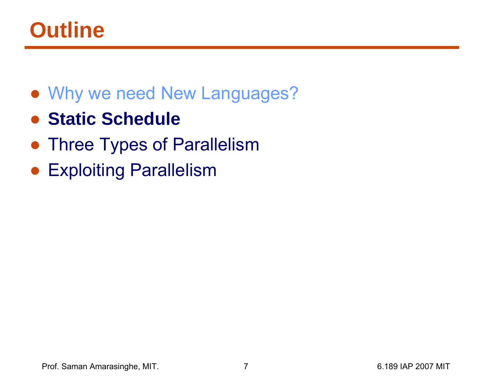# **Outline**

- Why we need New Languages?
- ●**Static Schedule**
- **Three Types of Parallelism**
- Exploiting Parallelism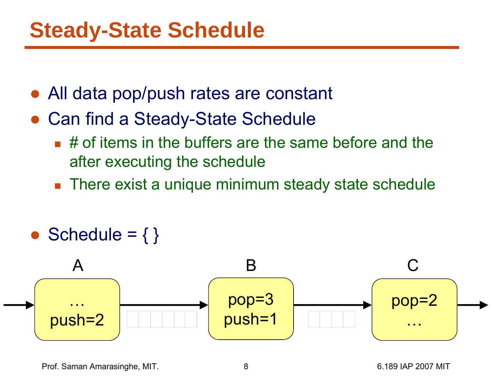- ●All data pop/push rates are constant
- ● Can find a Steady-State Schedule
	- $\blacksquare$  # of items in the buffers are the same before and the after executing the schedule
	- There exist a unique minimum steady state schedule
- ●Schedule =  $\{\}$

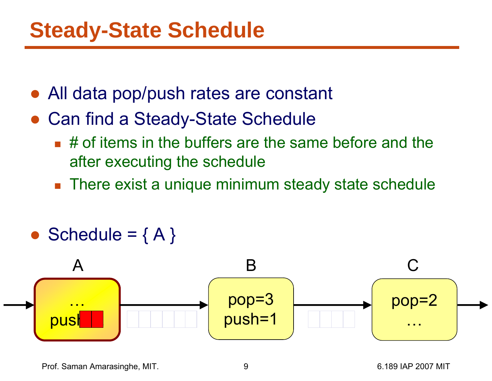- ●All data pop/push rates are constant
- ● Can find a Steady-State Schedule
	- $\blacksquare$  # of items in the buffers are the same before and the after executing the schedule
	- There exist a unique minimum steady state schedule
- ●Schedule =  ${A}$

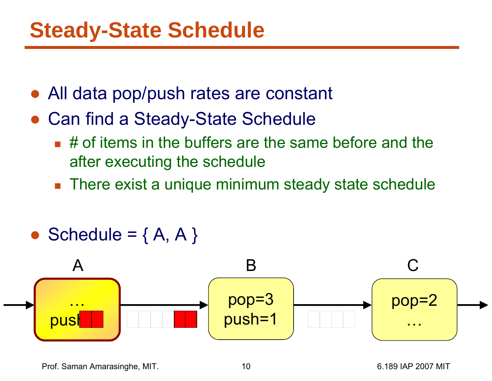- ●All data pop/push rates are constant
- ● Can find a Steady-State Schedule
	- $\blacksquare$  # of items in the buffers are the same before and the after executing the schedule
	- There exist a unique minimum steady state schedule
- $\bullet$ Schedule =  ${A, A}$



Prof. Saman Amarasinghe, MIT. 10 10 10 6.189 IAP 2007 MIT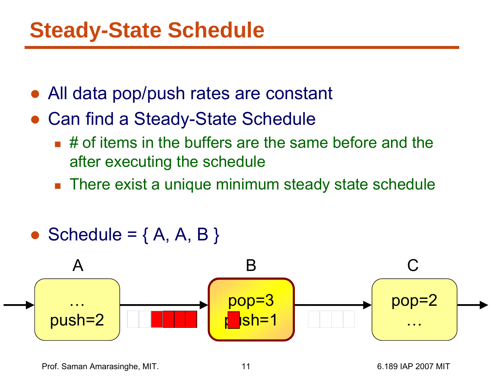- ●All data pop/push rates are constant
- ● Can find a Steady-State Schedule
	- $\blacksquare$  # of items in the buffers are the same before and the after executing the schedule
	- There exist a unique minimum steady state schedule
- $\bullet$ Schedule =  ${A, A, B}$

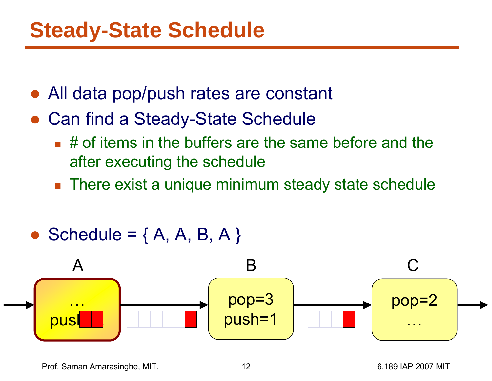- ●All data pop/push rates are constant
- ● Can find a Steady-State Schedule
	- $\blacksquare$  # of items in the buffers are the same before and the after executing the schedule
	- There exist a unique minimum steady state schedule
- $\bullet$ Schedule =  ${A, A, B, A}$

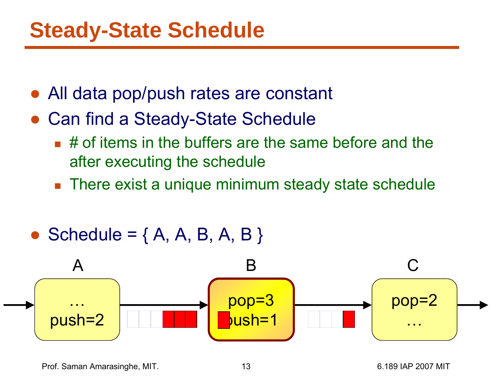- ●All data pop/push rates are constant
- ● Can find a Steady-State Schedule
	- $\blacksquare$  # of items in the buffers are the same before and the after executing the schedule
	- There exist a unique minimum steady state schedule
- $\bullet$ Schedule =  ${A, A, B, A, B}$

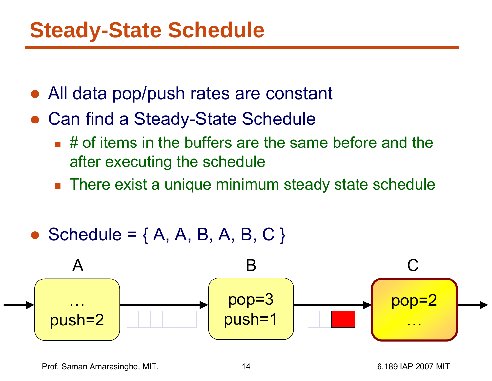- ●All data pop/push rates are constant
- ● Can find a Steady-State Schedule
	- $\blacksquare$  # of items in the buffers are the same before and the after executing the schedule
	- There exist a unique minimum steady state schedule
- $\bullet$ Schedule =  ${A, A, B, A, B, C}$

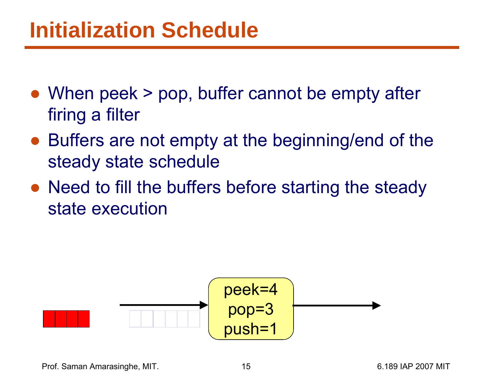- When peek > pop, buffer cannot be empty after firing a filter
- Buffers are not empty at the beginning/end of the steady state schedule
- Need to fill the buffers before starting the steady state execution



Prof. Saman Amarasinghe, MIT. 15 15 16.189 IAP 2007 MIT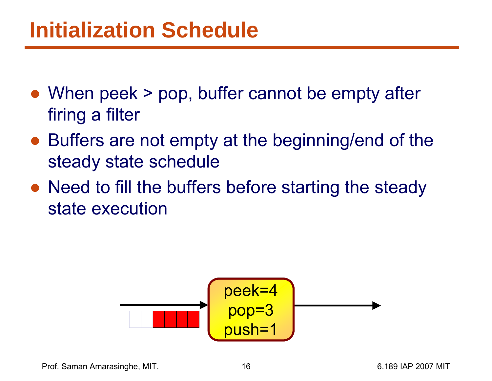- When peek > pop, buffer cannot be empty after firing a filter
- Buffers are not empty at the beginning/end of the steady state schedule
- Need to fill the buffers before starting the steady state execution

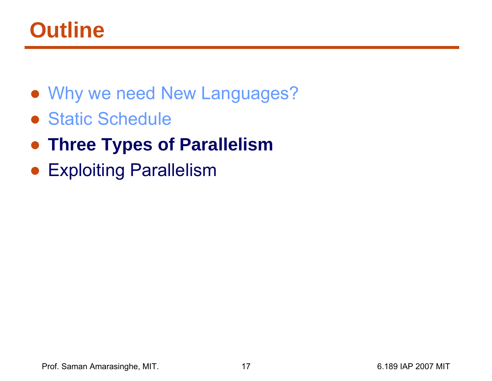## **Outline**

- Why we need New Languages?
- Static Schedule
- ●**Three Types of Parallelism**
- Exploiting Parallelism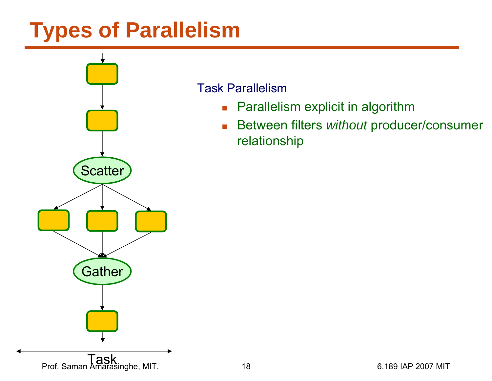# **Types of Parallelism**



#### Task Parallelism

- $\mathcal{L}_{\text{max}}$ Parallelism explicit in algorithm
- $\mathcal{L}_{\mathcal{A}}$  Between filters *without* producer/consumer relationship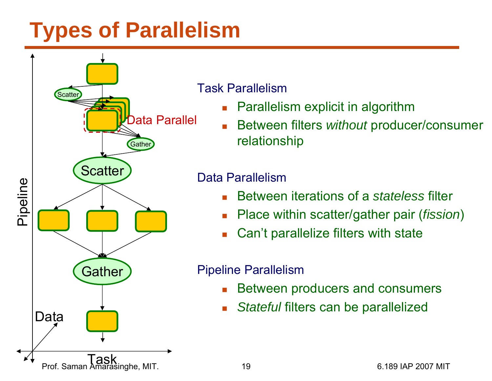# **Types of Parallelism**

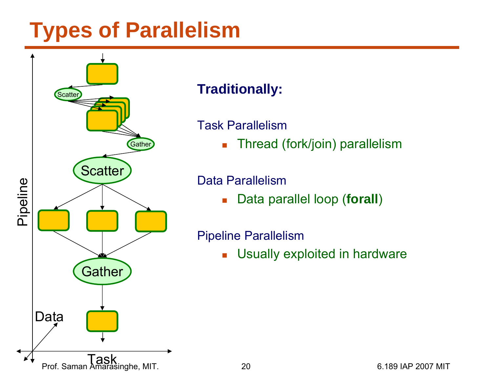# **Types of Parallelism**

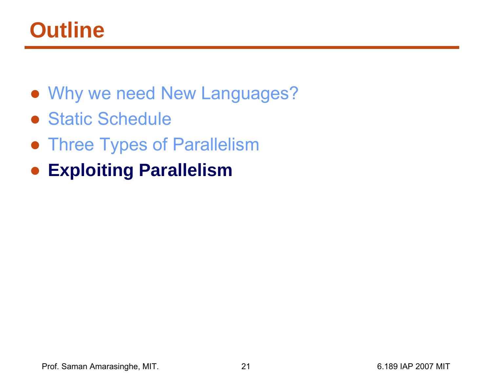# **Outline**

- Why we need New Languages?
- Static Schedule
- **Three Types of Parallelism**
- **Exploiting Parallelism**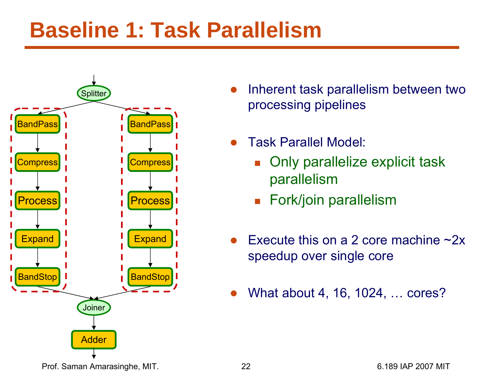# **Baseline 1: Task Parallelism**



- ● Inherent task parallelism between two processing pipelines
- ● Task Parallel Model:
	- F. Only parallelize explicit task parallelism
	- Fork/join parallelism
- ●Execute this on a 2 core machine ~2x speedup over single core
- ●What about 4, 16, 1024, … cores?

Prof. Saman Amarasinghe, MIT. 22 6.189 IAP 2007 MIT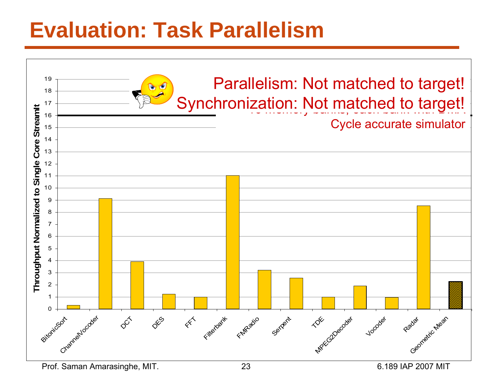# **Evaluation: Task Parallelism**



Prof. Saman Amarasinghe, MIT. 23 6.189 IAP 2007 MIT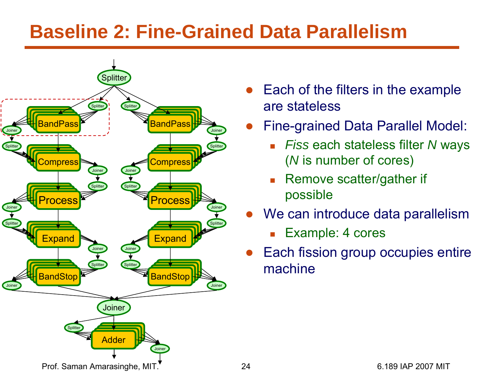#### **Baseline 2: Fine-Grained Data Parallelism**



- $\bullet$  Each of the filters in the example are stateless
- $\bullet$  Fine-grained Data Parallel Model:
	- П *Fiss* each stateless filter *N* ways ( *N* is number of cores)
	- П Remove scatter/gather if possible
- $\bullet$  We can introduce data parallelism
	- П Example: 4 cores
- ● Each fission group occupies entire machine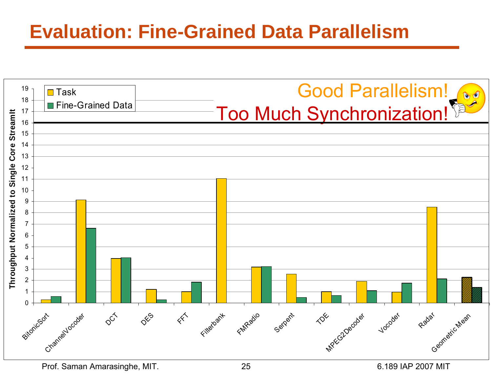#### **Evaluation: Fine-Grained Data Parallelism**

|                                         | 19<br>18              | $\blacksquare$ Task                                         | <b>Good Parallelism!</b>                                                                                                     |
|-----------------------------------------|-----------------------|-------------------------------------------------------------|------------------------------------------------------------------------------------------------------------------------------|
|                                         | 17                    | Fine-Grained Data                                           | Too Much Synchronization!                                                                                                    |
| Streamit                                | 16<br>15              |                                                             |                                                                                                                              |
|                                         | 14                    |                                                             |                                                                                                                              |
| Core<br>Throughput Normalized to Single | 13                    |                                                             |                                                                                                                              |
|                                         | 12<br>11              |                                                             |                                                                                                                              |
|                                         | 10                    |                                                             |                                                                                                                              |
|                                         | $\boldsymbol{9}$<br>8 |                                                             |                                                                                                                              |
|                                         | $\overline{7}$        |                                                             |                                                                                                                              |
|                                         | $\,6$                 |                                                             |                                                                                                                              |
|                                         | 5<br>4                |                                                             |                                                                                                                              |
|                                         | $\mathbf{3}$          |                                                             |                                                                                                                              |
|                                         | $\mathbf 2$<br>-1     |                                                             |                                                                                                                              |
|                                         | 0                     |                                                             |                                                                                                                              |
|                                         |                       | $\varphi^{\zeta^{\zeta}}$<br>Channel Vocades<br>Sitonicsort | $\mathbf{r}$<br>Filterbant<br>FMR-2010<br>Radar<br>DESS<br>$\propto$<br>Serpent<br>Vocoder<br>MPECo20ecodes<br>Geometic Mean |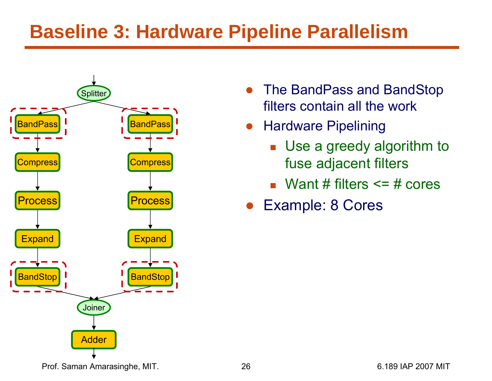#### **Baseline 3: Hardware Pipeline Parallelism**



- ● The BandPass and BandStop filters contain all the work
- $\bullet$  Hardware Pipelining
	- Use a greedy algorithm to fuse adjacent filters
	- $\blacksquare$  Want # filters  $\leq$  = # cores
- $\bullet$ Example: 8 Cores

Prof. Saman Amarasinghe, MIT. 26 2007 MIT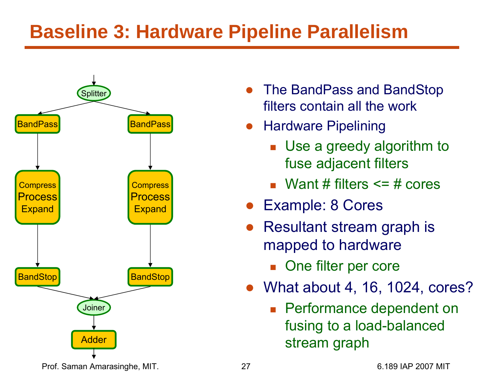#### **Baseline 3: Hardware Pipeline Parallelism**



- $\bullet$  The BandPass and BandStop filters contain all the work
- $\bullet$  Hardware Pipelining
	- Use a greedy algorithm to fuse adjacent filters
	- $\blacksquare$  Want # filters  $\leq$  = # cores
- $\bullet$ Example: 8 Cores
- ● Resultant stream graph is mapped to hardware
	- **De filter per core**
- What about 4, 16, 1024, cores?
	- **Performance dependent on** fusing to a load-balanced stream graph

Prof. Saman Amarasinghe, MIT. 27 2007 27 6.189 IAP 2007 MIT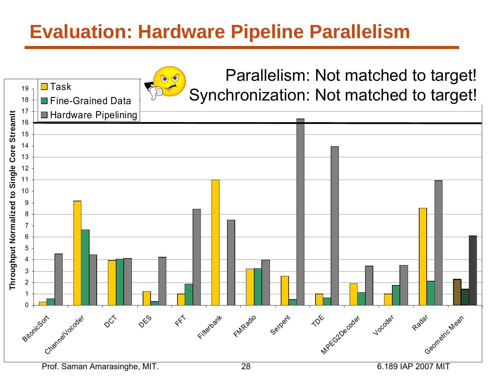#### **Evaluation: Hardware Pipeline Parallelism**

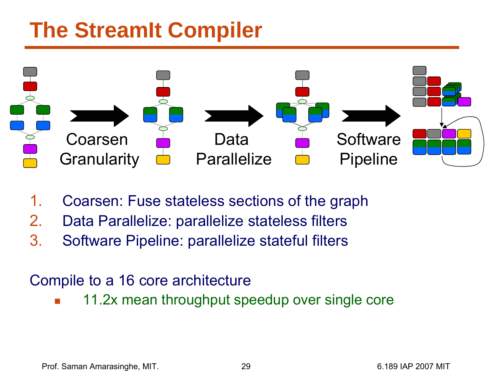# **The StreamIt Compiler**



- 1.Coarsen: Fuse stateless sections of the graph
- 2.Data Parallelize: parallelize stateless filters
- 3. Software Pipeline: parallelize stateful filters

#### Compile to a 16 core architecture

F. 11.2x mean throughput speedup over single core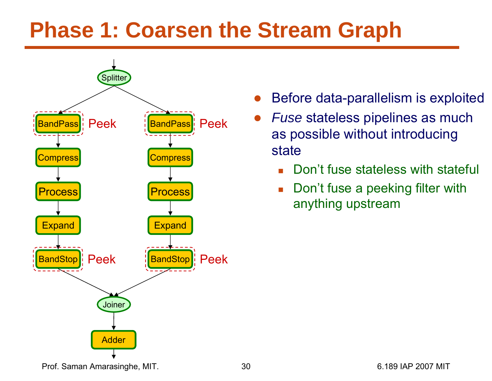# **Phase 1: Coarsen the Stream Graph**



- ●Before data-parallelism is exploited
- ● *Fuse* stateless pipelines as much as possible without introducing state
	- Г Don't fuse stateless with stateful
	- $\overline{\phantom{a}}$  Don't fuse a peeking filter with anything upstream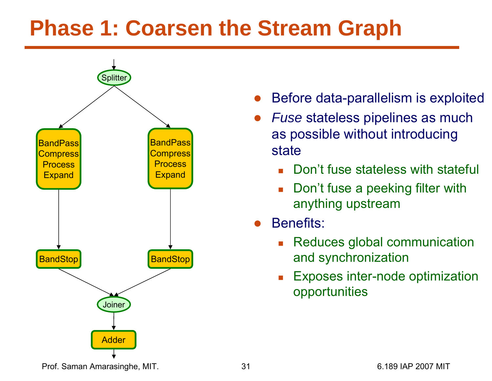# **Phase 1: Coarsen the Stream Graph**



- ●Before data-parallelism is exploited
- ● *Fuse* stateless pipelines as much as possible without introducing state
	- Г Don't fuse stateless with stateful
	- Г Don't fuse a peeking filter with anything upstream
- ● Benefits:
	- Reduces global communication and synchronization
	- Г Exposes inter-node optimization opportunities

Prof. Saman Amarasinghe, MIT.  $\qquad \qquad 31$  81 6.189 IAP 2007 MIT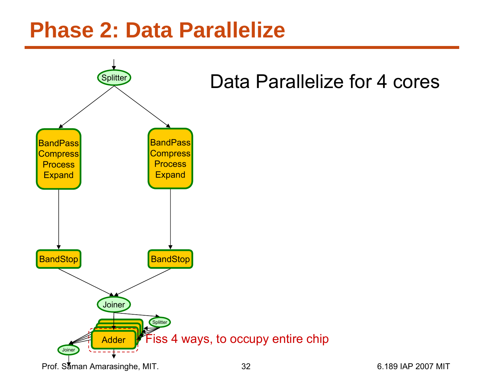#### **Phase 2: Data Parallelize**

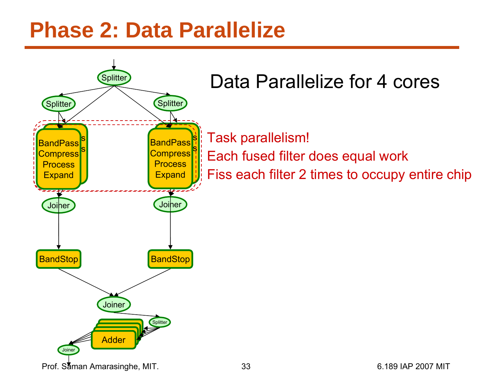#### **Phase 2: Data Parallelize**

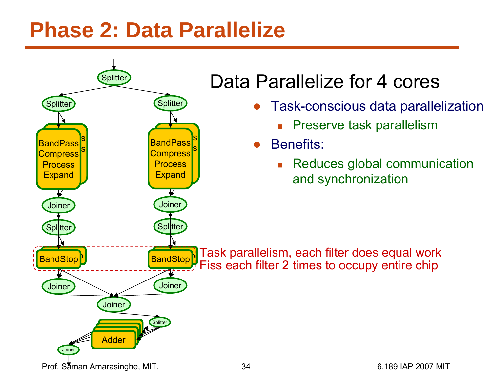#### **Phase 2: Data Parallelize**

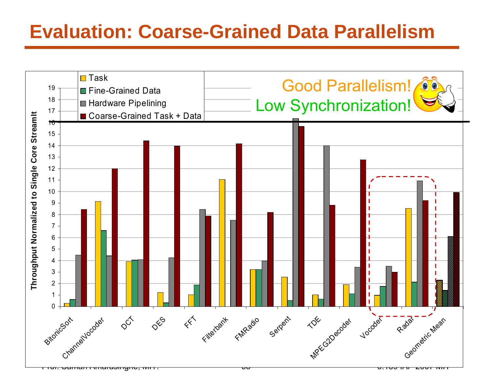#### **Evaluation: Coarse-Grained Data Parallelism**

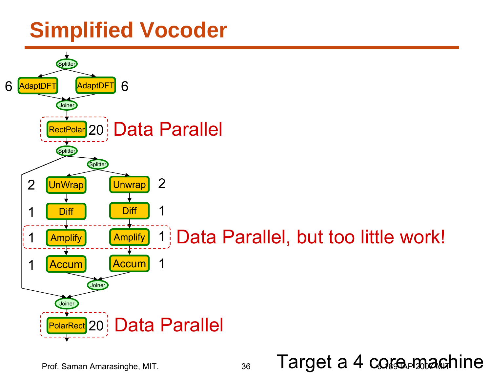# **Simplified Vocoder**

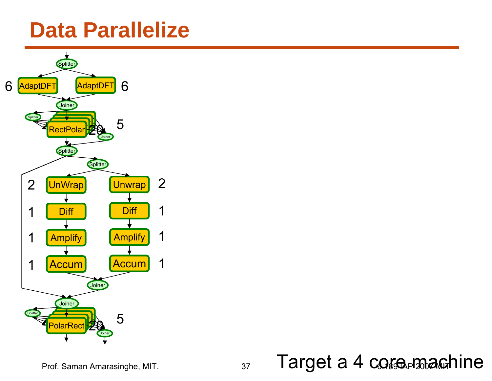#### **Data Parallelize**



Prof. Saman Amarasinghe, MIT. 37 6.189 IAP 2007 MIT Target a 4 core machine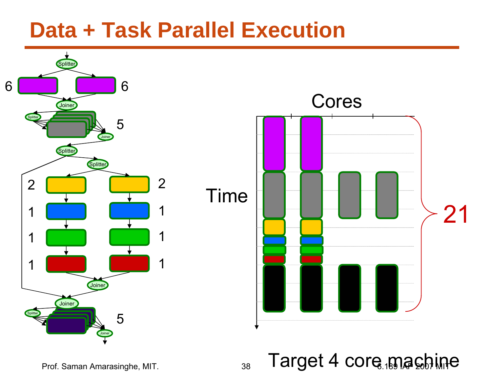#### **Data + Task Parallel Execution**



Prof. Saman Amarasinghe, MIT.  $\overline{\phantom{a}}_{38}$   $\overline{\phantom{a}}$   $\overline{\phantom{a}}$   $\overline{\phantom{a}}$   $\overline{\phantom{a}}$   $\overline{\phantom{a}}$   $\overline{\phantom{a}}$   $\overline{\phantom{a}}$   $\overline{\phantom{a}}$   $\overline{\phantom{a}}$   $\overline{\phantom{a}}$   $\overline{\phantom{a}}$   $\overline{\phantom{a}}$   $\overline{\phantom{a}}$   $\overline{\phantom{a}}$   $\overline{\phantom$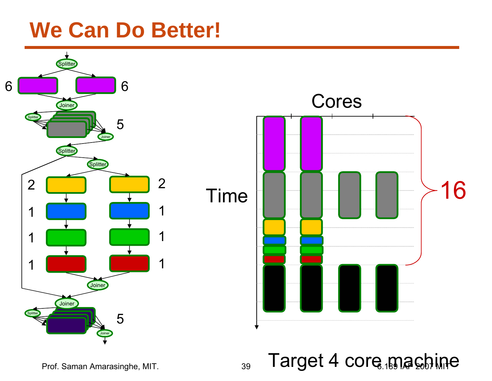#### **We Can Do Better!**



Prof. Saman Amarasinghe, MIT.  $\overline{\phantom{a}}_{39}$   $\overline{\phantom{a}}$   $\overline{\phantom{a}}$   $\overline{\phantom{a}}$   $\overline{\phantom{a}}$   $\overline{\phantom{a}}$   $\overline{\phantom{a}}$   $\overline{\phantom{a}}$   $\overline{\phantom{a}}$   $\overline{\phantom{a}}$   $\overline{\phantom{a}}$   $\overline{\phantom{a}}$   $\overline{\phantom{a}}$   $\overline{\phantom{a}}$   $\overline{\phantom{a}}$   $\overline{\phantom$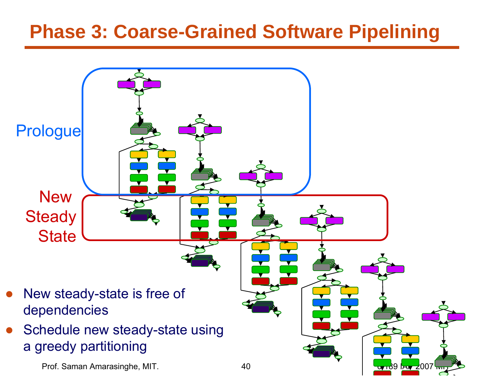#### **Phase 3: Coarse-Grained Software Pipelining**

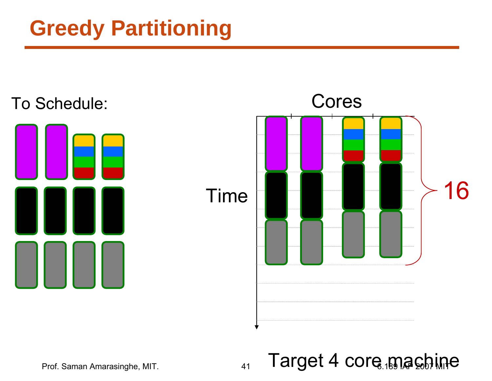# **Greedy Partitioning**







Prof. Saman Amarasinghe, MIT.  $\overline{a}_{41}$   $\overline{\Gamma}$ arget 4 core  $\overline{a}_{48}$ chine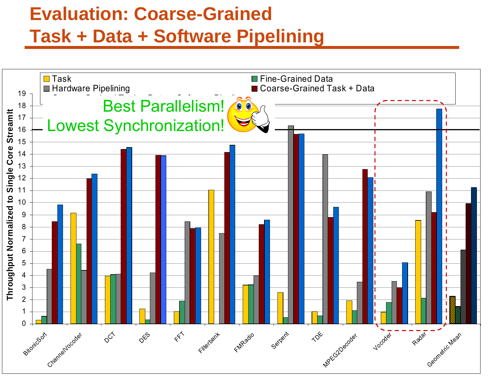#### **Evaluation: Coarse-Grained Task + Data + Software Pipelining**